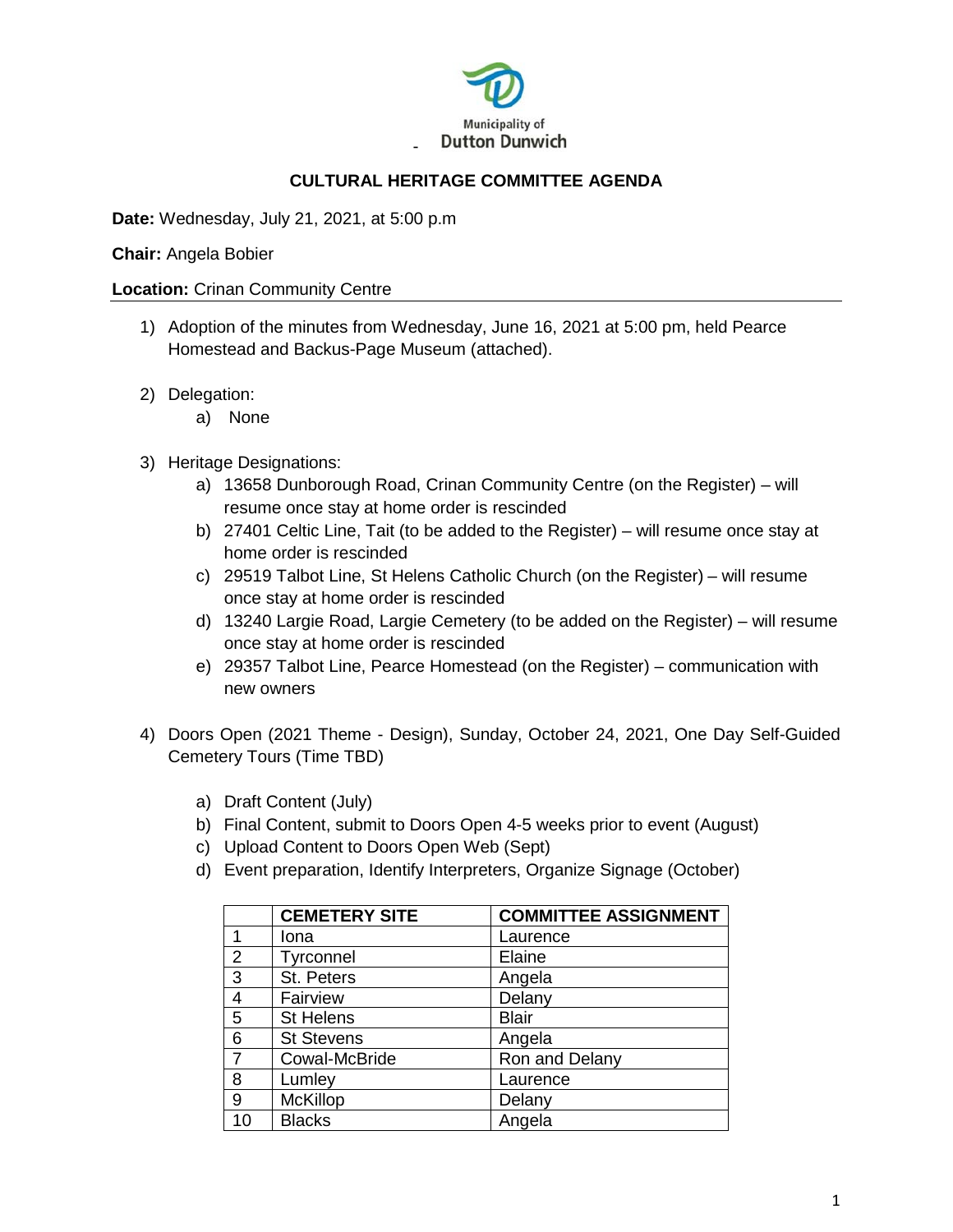

# **CULTURAL HERITAGE COMMITTEE AGENDA**

**Date:** Wednesday, July 21, 2021, at 5:00 p.m

#### **Chair:** Angela Bobier

#### **Location:** Crinan Community Centre

- 1) Adoption of the minutes from Wednesday, June 16, 2021 at 5:00 pm, held Pearce Homestead and Backus-Page Museum (attached).
- 2) Delegation:
	- a) None
- 3) Heritage Designations:
	- a) 13658 Dunborough Road, Crinan Community Centre (on the Register) will resume once stay at home order is rescinded
	- b) 27401 Celtic Line, Tait (to be added to the Register) will resume once stay at home order is rescinded
	- c) 29519 Talbot Line, St Helens Catholic Church (on the Register) will resume once stay at home order is rescinded
	- d) 13240 Largie Road, Largie Cemetery (to be added on the Register) will resume once stay at home order is rescinded
	- e) 29357 Talbot Line, Pearce Homestead (on the Register) communication with new owners
- 4) Doors Open (2021 Theme Design), Sunday, October 24, 2021, One Day Self-Guided Cemetery Tours (Time TBD)
	- a) Draft Content (July)
	- b) Final Content, submit to Doors Open 4-5 weeks prior to event (August)
	- c) Upload Content to Doors Open Web (Sept)
	- d) Event preparation, Identify Interpreters, Organize Signage (October)

|                | <b>CEMETERY SITE</b> | <b>COMMITTEE ASSIGNMENT</b> |
|----------------|----------------------|-----------------------------|
|                | Iona                 | Laurence                    |
| 2              | Tyrconnel            | Elaine                      |
| 3              | St. Peters           | Angela                      |
| $\overline{4}$ | Fairview             | Delany                      |
| 5              | <b>St Helens</b>     | <b>Blair</b>                |
| 6              | <b>St Stevens</b>    | Angela                      |
| $\overline{7}$ | Cowal-McBride        | Ron and Delany              |
| 8              | Lumley               | Laurence                    |
| 9              | <b>McKillop</b>      | Delany                      |
| 10             | <b>Blacks</b>        | Angela                      |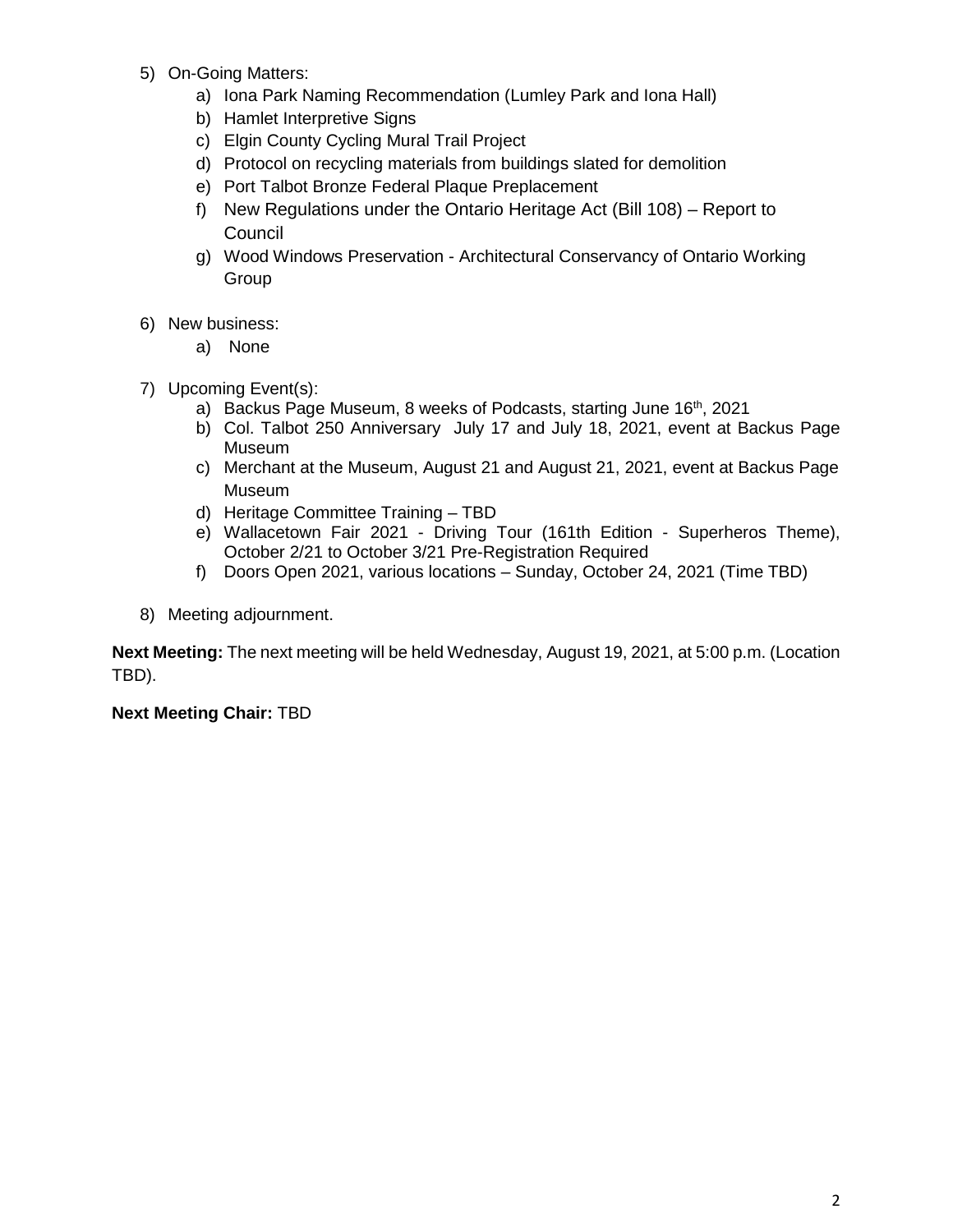- 5) On-Going Matters:
	- a) Iona Park Naming Recommendation (Lumley Park and Iona Hall)
	- b) Hamlet Interpretive Signs
	- c) Elgin County Cycling Mural Trail Project
	- d) Protocol on recycling materials from buildings slated for demolition
	- e) Port Talbot Bronze Federal Plaque Preplacement
	- f) New Regulations under the Ontario Heritage Act (Bill 108) Report to Council
	- g) Wood Windows Preservation Architectural Conservancy of Ontario Working Group
- 6) New business:
	- a) None
- 7) Upcoming Event(s):
	- a) Backus Page Museum, 8 weeks of Podcasts, starting June  $16<sup>th</sup>$ , 2021
	- b) Col. Talbot 250 Anniversary July 17 and July 18, 2021, event at Backus Page Museum
	- c) Merchant at the Museum, August 21 and August 21, 2021, event at Backus Page Museum
	- d) Heritage Committee Training TBD
	- e) Wallacetown Fair 2021 Driving Tour (161th Edition Superheros Theme), October 2/21 to October 3/21 Pre-Registration Required
	- f) Doors Open 2021, various locations Sunday, October 24, 2021 (Time TBD)
- 8) Meeting adjournment.

**Next Meeting:** The next meeting will be held Wednesday, August 19, 2021, at 5:00 p.m. (Location TBD).

**Next Meeting Chair:** TBD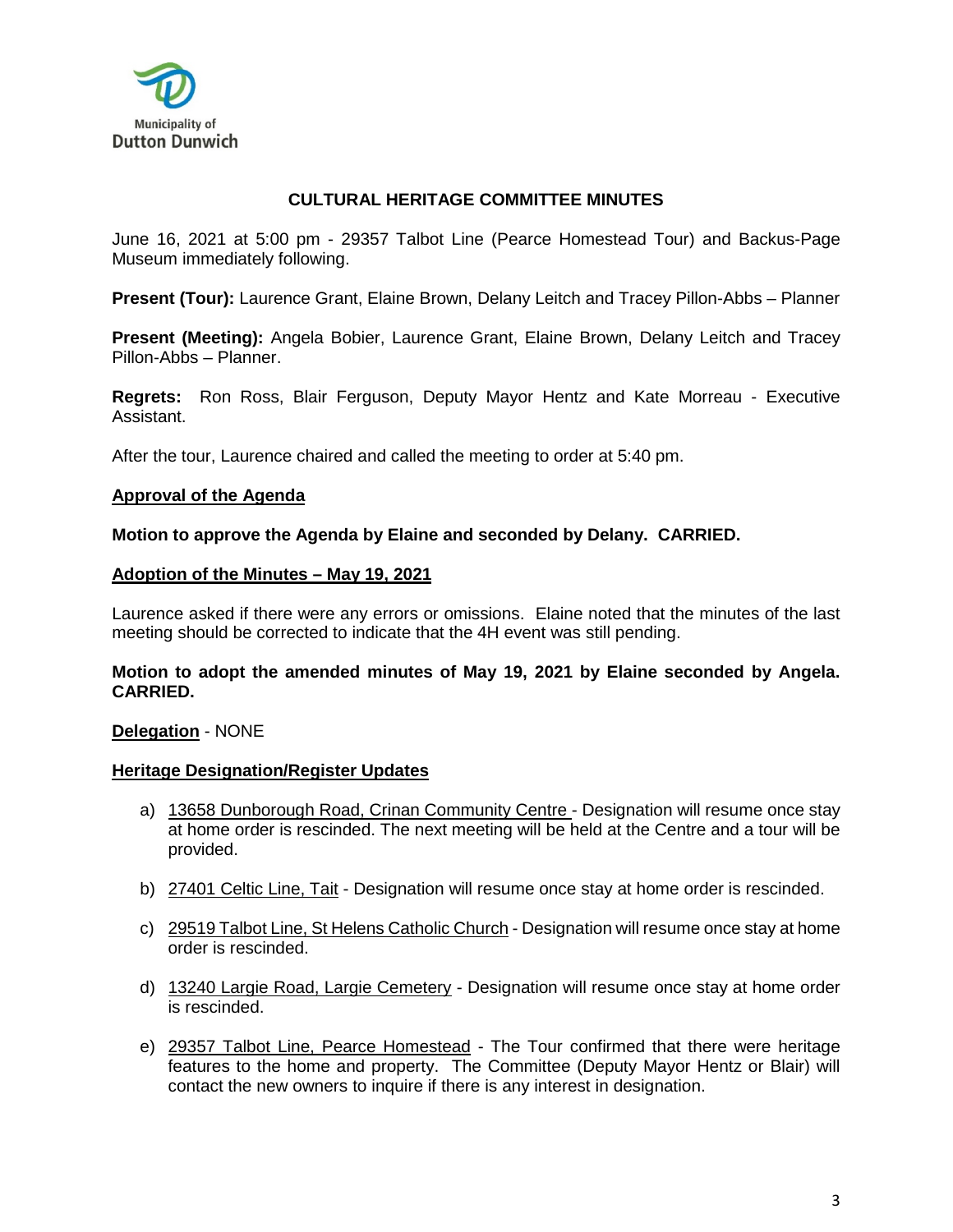

# **CULTURAL HERITAGE COMMITTEE MINUTES**

June 16, 2021 at 5:00 pm - 29357 Talbot Line (Pearce Homestead Tour) and Backus-Page Museum immediately following.

**Present (Tour):** Laurence Grant, Elaine Brown, Delany Leitch and Tracey Pillon-Abbs – Planner

**Present (Meeting):** Angela Bobier, Laurence Grant, Elaine Brown, Delany Leitch and Tracey Pillon-Abbs – Planner.

**Regrets:** Ron Ross, Blair Ferguson, Deputy Mayor Hentz and Kate Morreau - Executive Assistant.

After the tour, Laurence chaired and called the meeting to order at 5:40 pm.

#### **Approval of the Agenda**

**Motion to approve the Agenda by Elaine and seconded by Delany. CARRIED.**

#### **Adoption of the Minutes – May 19, 2021**

Laurence asked if there were any errors or omissions. Elaine noted that the minutes of the last meeting should be corrected to indicate that the 4H event was still pending.

### **Motion to adopt the amended minutes of May 19, 2021 by Elaine seconded by Angela. CARRIED.**

#### **Delegation** - NONE

#### **Heritage Designation/Register Updates**

- a) 13658 Dunborough Road, Crinan Community Centre Designation will resume once stay at home order is rescinded. The next meeting will be held at the Centre and a tour will be provided.
- b) 27401 Celtic Line, Tait Designation will resume once stay at home order is rescinded.
- c) 29519 Talbot Line, St Helens Catholic Church Designation will resume once stay at home order is rescinded.
- d) 13240 Largie Road, Largie Cemetery Designation will resume once stay at home order is rescinded.
- e) 29357 Talbot Line, Pearce Homestead The Tour confirmed that there were heritage features to the home and property. The Committee (Deputy Mayor Hentz or Blair) will contact the new owners to inquire if there is any interest in designation.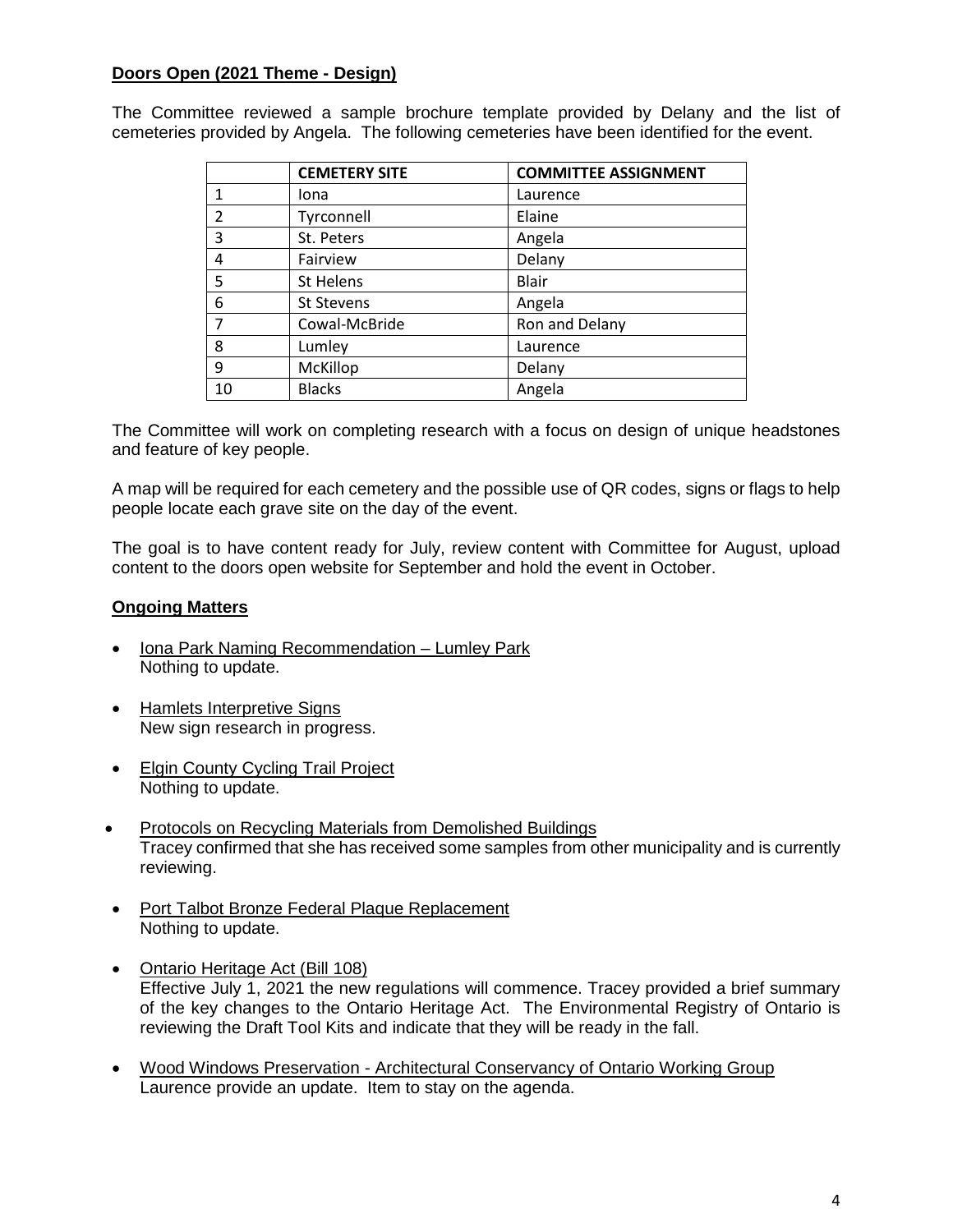# **Doors Open (2021 Theme - Design)**

The Committee reviewed a sample brochure template provided by Delany and the list of cemeteries provided by Angela. The following cemeteries have been identified for the event.

|                         | <b>CEMETERY SITE</b> | <b>COMMITTEE ASSIGNMENT</b> |
|-------------------------|----------------------|-----------------------------|
|                         | Iona                 | Laurence                    |
| $\overline{\mathbf{c}}$ | Tyrconnell           | Elaine                      |
| 3                       | St. Peters           | Angela                      |
| 4                       | Fairview             | Delany                      |
| 5                       | St Helens            | <b>Blair</b>                |
| 6                       | St Stevens           | Angela                      |
| 7                       | Cowal-McBride        | Ron and Delany              |
| 8                       | Lumley               | Laurence                    |
| 9                       | McKillop             | Delany                      |
| 10                      | <b>Blacks</b>        | Angela                      |

The Committee will work on completing research with a focus on design of unique headstones and feature of key people.

A map will be required for each cemetery and the possible use of QR codes, signs or flags to help people locate each grave site on the day of the event.

The goal is to have content ready for July, review content with Committee for August, upload content to the doors open website for September and hold the event in October.

## **Ongoing Matters**

- Iona Park Naming Recommendation Lumley Park Nothing to update.
- Hamlets Interpretive Signs New sign research in progress.
- Elgin County Cycling Trail Project Nothing to update.
- Protocols on Recycling Materials from Demolished Buildings Tracey confirmed that she has received some samples from other municipality and is currently reviewing.
- Port Talbot Bronze Federal Plaque Replacement Nothing to update.
- Ontario Heritage Act (Bill 108) Effective July 1, 2021 the new regulations will commence. Tracey provided a brief summary of the key changes to the Ontario Heritage Act. The Environmental Registry of Ontario is reviewing the Draft Tool Kits and indicate that they will be ready in the fall.
- Wood Windows Preservation Architectural Conservancy of Ontario Working Group Laurence provide an update. Item to stay on the agenda.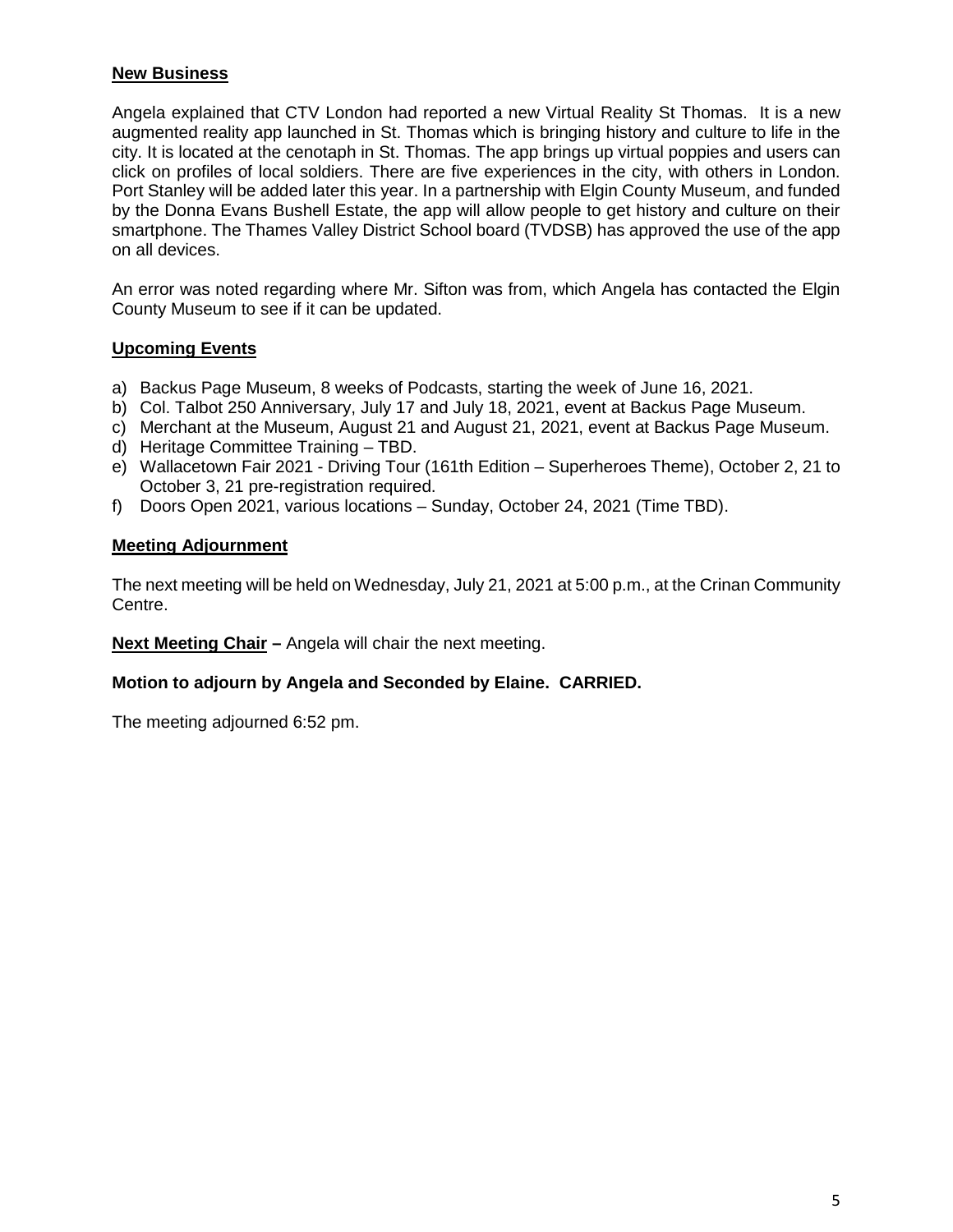## **New Business**

Angela explained that CTV London had reported a new Virtual Reality St Thomas. It is a new augmented reality app launched in St. Thomas which is bringing history and culture to life in the city. It is located at the cenotaph in St. Thomas. The app brings up virtual poppies and users can click on profiles of local soldiers. There are five experiences in the city, with others in London. Port Stanley will be added later this year. In a partnership with Elgin County Museum, and funded by the Donna Evans Bushell Estate, the app will allow people to get history and culture on their smartphone. The Thames Valley District School board (TVDSB) has approved the use of the app on all devices.

An error was noted regarding where Mr. Sifton was from, which Angela has contacted the Elgin County Museum to see if it can be updated.

### **Upcoming Events**

- a) Backus Page Museum, 8 weeks of Podcasts, starting the week of June 16, 2021.
- b) Col. Talbot 250 Anniversary, July 17 and July 18, 2021, event at Backus Page Museum.
- c) Merchant at the Museum, August 21 and August 21, 2021, event at Backus Page Museum.
- d) Heritage Committee Training TBD.
- e) Wallacetown Fair 2021 Driving Tour (161th Edition Superheroes Theme), October 2, 21 to October 3, 21 pre-registration required.
- f) Doors Open 2021, various locations Sunday, October 24, 2021 (Time TBD).

## **Meeting Adjournment**

The next meeting will be held on Wednesday, July 21, 2021 at 5:00 p.m., at the Crinan Community Centre.

**Next Meeting Chair –** Angela will chair the next meeting.

## **Motion to adjourn by Angela and Seconded by Elaine. CARRIED.**

The meeting adjourned 6:52 pm.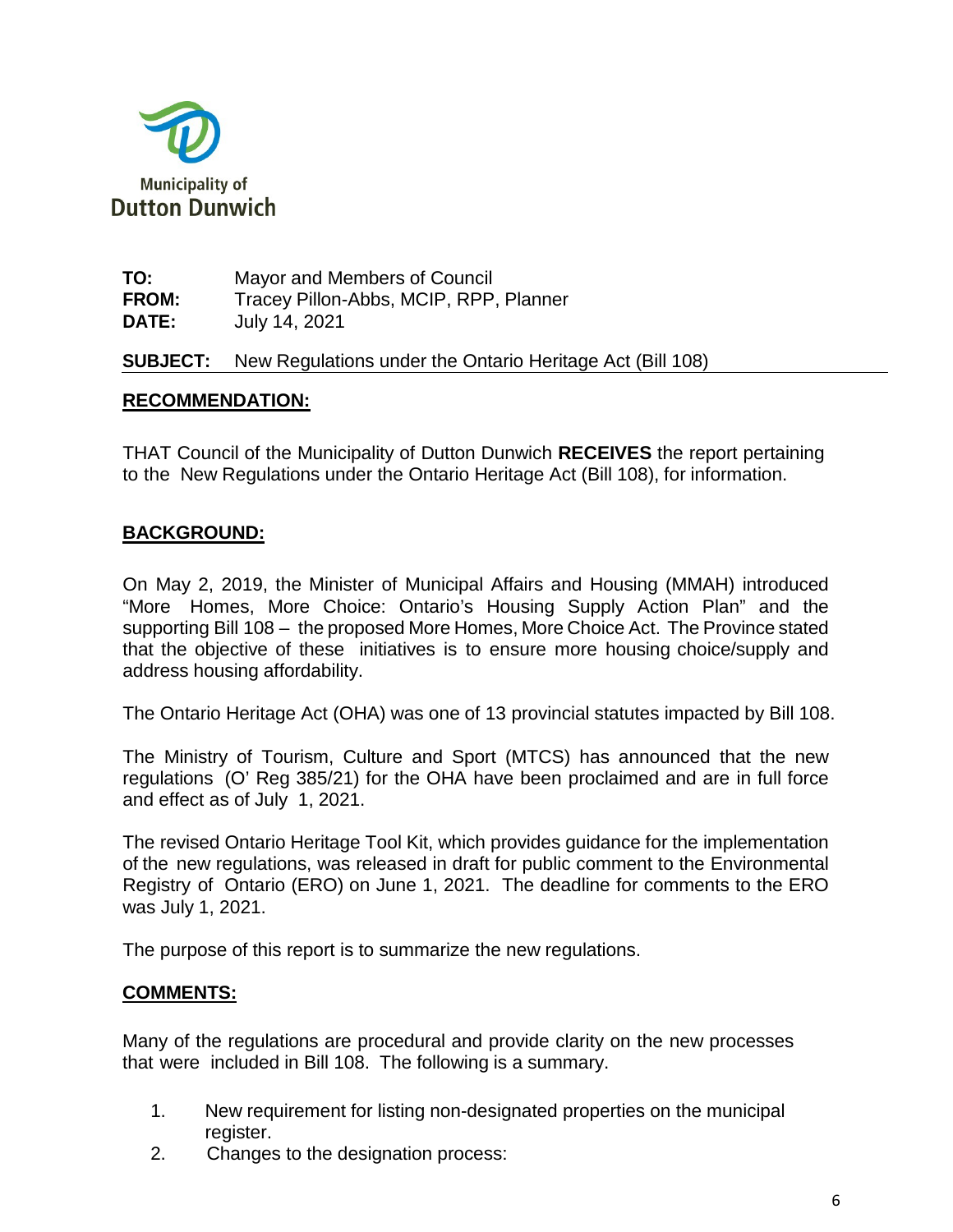

| TO:          | Mayor and Members of Council           |
|--------------|----------------------------------------|
| <b>FROM:</b> | Tracey Pillon-Abbs, MCIP, RPP, Planner |
| <b>DATE:</b> | July 14, 2021                          |

**SUBJECT:** New Regulations under the Ontario Heritage Act (Bill 108)

# **RECOMMENDATION:**

THAT Council of the Municipality of Dutton Dunwich **RECEIVES** the report pertaining to the New Regulations under the Ontario Heritage Act (Bill 108), for information.

# **BACKGROUND:**

On May 2, 2019, the Minister of Municipal Affairs and Housing (MMAH) introduced "More Homes, More Choice: Ontario's Housing Supply Action Plan" and the supporting Bill 108 – the proposed More Homes, More Choice Act. The Province stated that the objective of these initiatives is to ensure more housing choice/supply and address housing affordability.

The Ontario Heritage Act (OHA) was one of 13 provincial statutes impacted by Bill 108.

The Ministry of Tourism, Culture and Sport (MTCS) has announced that the new regulations (O' Reg 385/21) for the OHA have been proclaimed and are in full force and effect as of July 1, 2021.

The revised Ontario Heritage Tool Kit, which provides guidance for the implementation of the new regulations, was released in draft for public comment to the Environmental Registry of Ontario (ERO) on June 1, 2021. The deadline for comments to the ERO was July 1, 2021.

The purpose of this report is to summarize the new regulations.

## **COMMENTS:**

Many of the regulations are procedural and provide clarity on the new processes that were included in Bill 108. The following is a summary.

- 1. New requirement for listing non-designated properties on the municipal register.
- 2. Changes to the designation process: